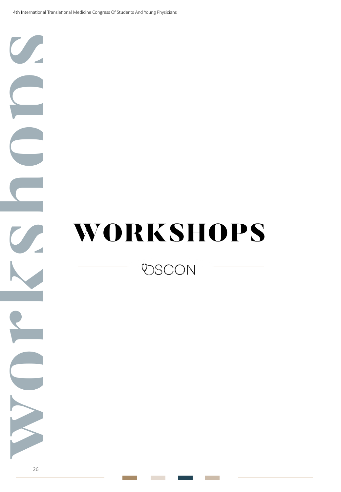# WORKSHOPS

**VSCON** 

**workshops**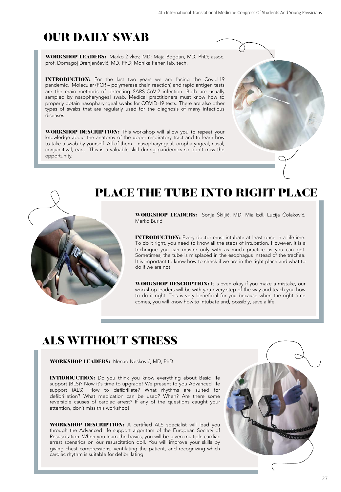# OUR DAILY SWAB

WORKSHOP LEADERS: Marko Živkov, MD; Maja Bogdan, MD, PhD; assoc. prof. Domagoj Drenjančević, MD, PhD; Monika Feher, lab. tech.

sampled by hasopharyngeal swab. Wedical practitioners must know how to<br>properly obtain nasopharyngeal swabs for COVID-19 tests. There are also other INTRODUCTION: For the last two years we are facing the Covid-19 pandemic. Molecular (PCR – polymerase chain reaction) and rapid antigen tests are the main methods of detecting SARS-CoV-2 infection. Both are usually sampled by nasopharyngeal swab. Medical practitioners must know how to types of swabs that are regularly used for the diagnosis of many infectious diseases.

WORKSHOP DESCRIPTION: This workshop will allow you to repeat your knowledge about the anatomy of the upper respiratory tract and to learn how to take a swab by yourself. All of them – nasopharyngeal, oropharyngeal, nasal, conjunctival, ear… This is a valuable skill during pandemics so don't miss the opportunity.

# PLACE THE TUBE INTO RIGHT PLACE

WORKSHOP LEADERS: Sonja Škiljić, MD; Mia Edl, Lucija Čolaković, Marko Burić

Sometimes, the tube is misplaced in the esophagus instead of the trachea.<br>Sometimes, the tube is misplaced in the esophagus instead of the trachea. INTRODUCTION: Every doctor must intubate at least once in a lifetime. To do it right, you need to know all the steps of intubation. However, it is a technique you can master only with as much practice as you can get. It is important to know how to check if we are in the right place and what to do if we are not.

WORKSHOP DESCRIPTION: It is even okay if you make a mistake, our workshop leaders will be with you every step of the way and teach you how to do it right. This is very beneficial for you because when the right time comes, you will know how to intubate and, possibly, save a life.

# ALS WITHOUT STRESS

WORKSHOP LEADERS: Nenad Nešković, MD, PhD

reversible causes of cardiac arrest? If any of the questions caught your<br>attention, don't miss this workshop! INTRODUCTION: Do you think you know everything about Basic life support (BLS)? Now it's time to upgrade! We present to you Advanced life support (ALS). How to defibrillate? What rhythms are suited for defibrillation? What medication can be used? When? Are there some attention, don't miss this workshop!

WORKSHOP DESCRIPTION: A certified ALS specialist will lead you through the Advanced life support algorithm of the European Society of Resuscitation. When you learn the basics, you will be given multiple cardiac arrest scenarios on our resuscitation doll. You will improve your skills by giving chest compressions, ventilating the patient, and recognizing which cardiac rhythm is suitable for defibrillating.

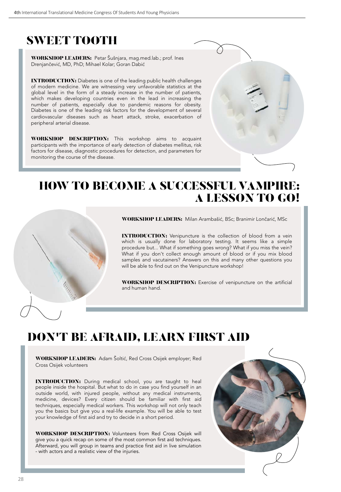#### SWEET TOOTH

WORKSHOP LEADERS: Petar Šušnjara, mag.med.lab.; prof. Ines Drenjančević, MD, PhD; Mihael Kolar; Goran Dabić

which makes developing countries even in the lead in increasing the<br>number of patients, especially due to pandemic reasons for obesity. INTRODUCTION: Diabetes is one of the leading public health challenges of modern medicine. We are witnessing very unfavorable statistics at the global level in the form of a steady increase in the number of patients, which makes developing countries even in the lead in increasing the Diabetes is one of the leading risk factors for the development of several cardiovascular diseases such as heart attack, stroke, exacerbation of peripheral arterial disease.

WORKSHOP DESCRIPTION: This workshop aims to acquaint participants with the importance of early detection of diabetes mellitus, risk factors for disease, diagnostic procedures for detection, and parameters for monitoring the course of the disease.



#### HOW TO BECOME A SUCCESSFUL VAMPIRE: A LESSON TO GO!



WORKSHOP LEADERS: Milan Arambašić, BSc; Branimir Lončarić, MSc

procedure but... what if something goes wrong? what if you miss the vein?<br>What if you don't collect enough amount of blood or if you mix blood INTRODUCTION: Venipuncture is the collection of blood from a vein which is usually done for laboratory testing. It seems like a simple procedure but... What if something goes wrong? What if you miss the vein? samples and vacutainers? Answers on this and many other questions you will be able to find out on the Venipuncture workshop!

WORKSHOP DESCRIPTION: Exercise of venipuncture on the artificial and human hand.

# DON'T BE AFRAID, LEARN FIRST AID

WORKSHOP LEADERS: Adam Šoltić, Red Cross Osijek employer; Red Cross Osijek volunteers

medicine, devices? Every citizen should be familiar with first aid<br>techniques, especially medical workers. This workshop will not only teach INTRODUCTION: During medical school, you are taught to heal people inside the hospital. But what to do in case you find yourself in an outside world, with injured people, without any medical instruments, medicine, devices? Every citizen should be familiar with first aid you the basics but give you a real-life example. You will be able to test your knowledge of first aid and try to decide in a short period.

WORKSHOP DESCRIPTION: Volunteers from Red Cross Osijek will give you a quick recap on some of the most common first aid techniques. Afterward, you will group in teams and practice first aid in live simulation - with actors and a realistic view of the injuries.

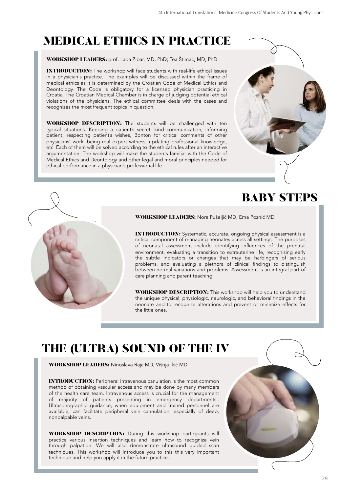# MEDICAL ETHICS IN PRACTICE

WORKSHOP LEADERS: prof. Lada Zibar, MD, PhD; Tea Štimac, MD, PhD

INTRODUCTION: The workshop will face students with real-life ethical issues in a physician's practice. The examples will be discussed within the frame of medical ethics as it is determined by the Croatian Code of Medical Ethics and Deontology. The Code is obligatory for a licensed physician practicing in Croatia. The Croatian Medical Chamber is in charge of judging potential ethical violations of the physicians. The ethical committee deals with the cases and recognizes the most frequent topics in question.

WORKSHOP DESCRIPTION: The students will be challenged with ten typical situations. Keeping a patient's secret, kind communication, informing patient, respecting patient's wishes, Bonton for critical comments of other physicians' work, being real expert witness, updating professional knowledge, etc. Each of them will be solved according to the ethical rules after an interactive argumentation. The workshop will make the students familiar with the Code of Medical Ethics and Deontology and other legal and moral principles needed for ethical performance in a physician's professional life.



# BABY STEPS



WORKSHOP LEADERS: Nora Pušeljić MD, Ema Poznić MD

the subtle indicators or changes that may be harbingers of serious<br>problems, and evaluating a plethora of clinical findings to distinguish INTRODUCTION: Systematic, accurate, ongoing physical assessment is a critical component of managing neonates across all settings. The purposes of neonatal assessment include identifying influences of the prenatal environment, evaluating a transition to extrauterine life, recognizing early the subtle indicators or changes that may be harbingers of serious between normal variations and problems. Assessment is an integral part of care planning and parent teaching.

WORKSHOP DESCRIPTION: This workshop will help you to understand the unique physical, physiologic, neurologic, and behavioral findings in the neonate and to recognize alterations and prevent or minimize effects for the little ones.

# THE (ULTRA) SOUND OF THE IV

WORKSHOP LEADERS: Ninoslava Rajc MD, Višnja Ikić MD

Ultrasonographic guidance, when equipment and trained personnel are<br>available, can facilitate peripheral vein cannulation, especially of deep, INTRODUCTION: Peripheral intravenous canulation is the most common method of obtaining vascular access and may be done by many members of the health care team. Intravenous access is crucial for the management of majority of patients presenting in emergency departments.. Ultrasonographic guidance, when equipment and trained personnel are nonpalpable veins.

WORKSHOP DESCRIPTION: During this workshop participants will practice various insertion techniques and learn how to recognize vein through palpation. We will also demonstrate ultrasound guided scan techniques. This workshop will introduce you to this this very important technique and help you apply it in the future practice.